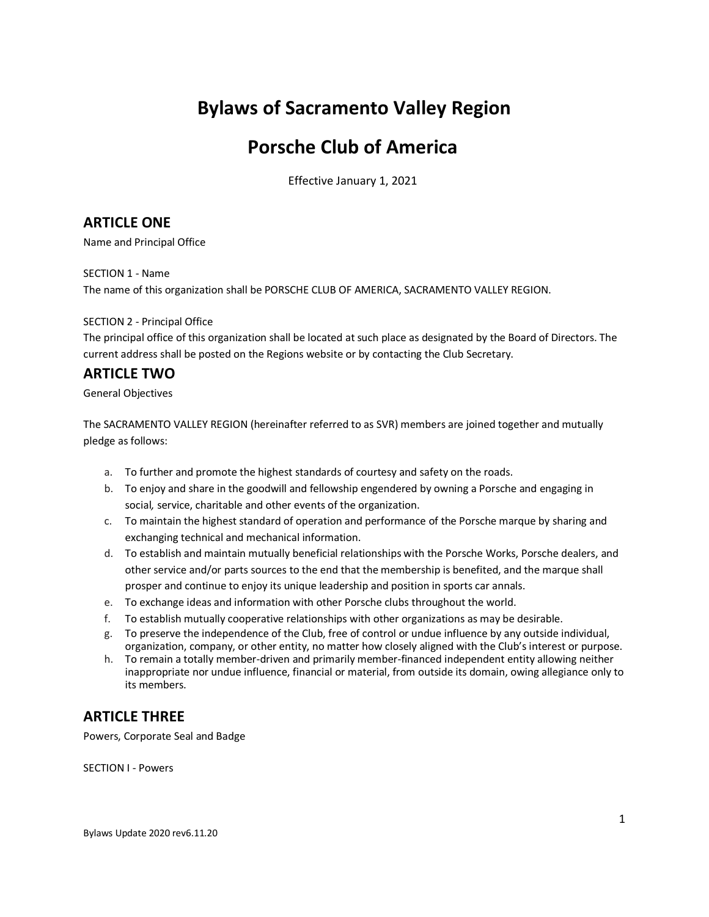# **Bylaws of Sacramento Valley Region**

# **Porsche Club of America**

Effective January 1, 2021

## **ARTICLE ONE**

Name and Principal Office

SECTION 1 - Name The name of this organization shall be PORSCHE CLUB OF AMERICA, SACRAMENTO VALLEY REGION.

## SECTION 2 - Principal Office

The principal office of this organization shall be located at such place as designated by the Board of Directors. The current address shall be posted on the Regions website or by contacting the Club Secretary.

## **ARTICLE TWO**

General Objectives

The SACRAMENTO VALLEY REGION (hereinafter referred to as SVR) members are joined together and mutually pledge as follows:

- a. To further and promote the highest standards of courtesy and safety on the roads.
- b. To enjoy and share in the goodwill and fellowship engendered by owning a Porsche and engaging in social*,* service, charitable and other events of the organization.
- c. To maintain the highest standard of operation and performance of the Porsche marque by sharing and exchanging technical and mechanical information.
- d. To establish and maintain mutually beneficial relationships with the Porsche Works, Porsche dealers, and other service and/or parts sources to the end that the membership is benefited, and the marque shall prosper and continue to enjoy its unique leadership and position in sports car annals.
- e. To exchange ideas and information with other Porsche clubs throughout the world.
- f. To establish mutually cooperative relationships with other organizations as may be desirable.
- g. To preserve the independence of the Club, free of control or undue influence by any outside individual, organization, company, or other entity, no matter how closely aligned with the Club's interest or purpose.
- h. To remain a totally member-driven and primarily member-financed independent entity allowing neither inappropriate nor undue influence, financial or material, from outside its domain, owing allegiance only to its members.

## **ARTICLE THREE**

Powers, Corporate Seal and Badge

SECTION I - Powers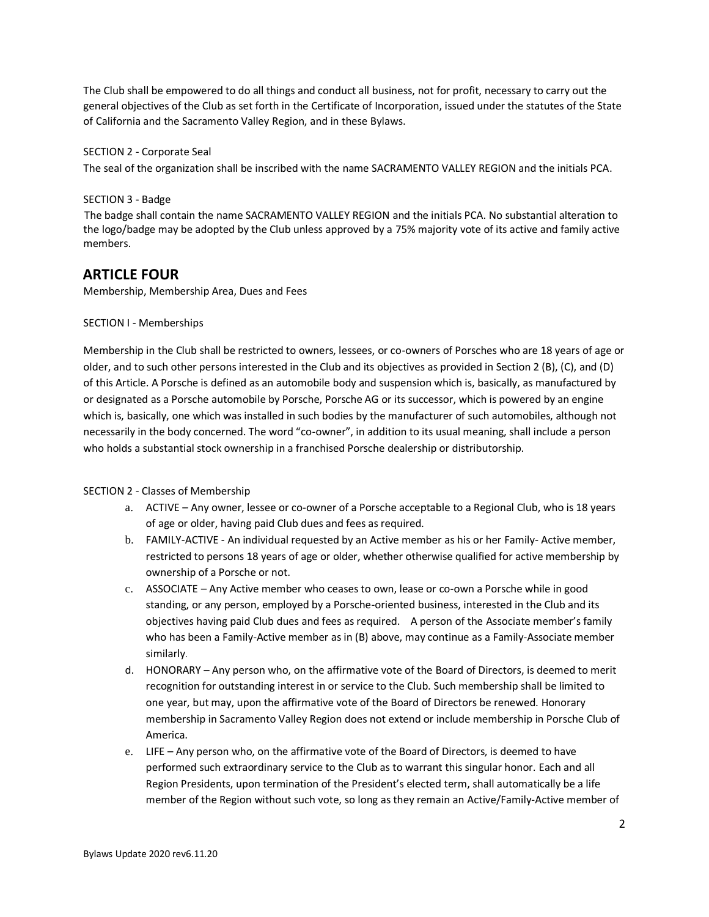The Club shall be empowered to do all things and conduct all business, not for profit, necessary to carry out the general objectives of the Club as set forth in the Certificate of Incorporation, issued under the statutes of the State of California and the Sacramento Valley Region, and in these Bylaws.

## SECTION 2 - Corporate Seal

The seal of the organization shall be inscribed with the name SACRAMENTO VALLEY REGION and the initials PCA.

## SECTION 3 - Badge

The badge shall contain the name SACRAMENTO VALLEY REGION and the initials PCA. No substantial alteration to the logo/badge may be adopted by the Club unless approved by a 75% majority vote of its active and family active members.

## **ARTICLE FOUR**

Membership, Membership Area, Dues and Fees

## SECTION I - Memberships

Membership in the Club shall be restricted to owners, lessees, or co-owners of Porsches who are 18 years of age or older, and to such other persons interested in the Club and its objectives as provided in Section 2 (B), (C), and (D) of this Article. A Porsche is defined as an automobile body and suspension which is, basically, as manufactured by or designated as a Porsche automobile by Porsche, Porsche AG or its successor, which is powered by an engine which is, basically, one which was installed in such bodies by the manufacturer of such automobiles, although not necessarily in the body concerned. The word "co-owner", in addition to its usual meaning, shall include a person who holds a substantial stock ownership in a franchised Porsche dealership or distributorship.

### SECTION 2 - Classes of Membership

- a. ACTIVE Any owner, lessee or co-owner of a Porsche acceptable to a Regional Club, who is 18 years of age or older, having paid Club dues and fees as required.
- b. FAMILY-ACTIVE An individual requested by an Active member as his or her Family- Active member, restricted to persons 18 years of age or older, whether otherwise qualified for active membership by ownership of a Porsche or not.
- c. ASSOCIATE Any Active member who ceases to own, lease or co-own a Porsche while in good standing, or any person, employed by a Porsche-oriented business, interested in the Club and its objectives having paid Club dues and fees as required. A person of the Associate member's family who has been a Family-Active member as in (B) above, may continue as a Family-Associate member similarly.
- d. HONORARY Any person who, on the affirmative vote of the Board of Directors, is deemed to merit recognition for outstanding interest in or service to the Club. Such membership shall be limited to one year, but may, upon the affirmative vote of the Board of Directors be renewed. Honorary membership in Sacramento Valley Region does not extend or include membership in Porsche Club of America.
- e. LIFE Any person who, on the affirmative vote of the Board of Directors, is deemed to have performed such extraordinary service to the Club as to warrant this singular honor. Each and all Region Presidents, upon termination of the President's elected term, shall automatically be a life member of the Region without such vote, so long as they remain an Active/Family-Active member of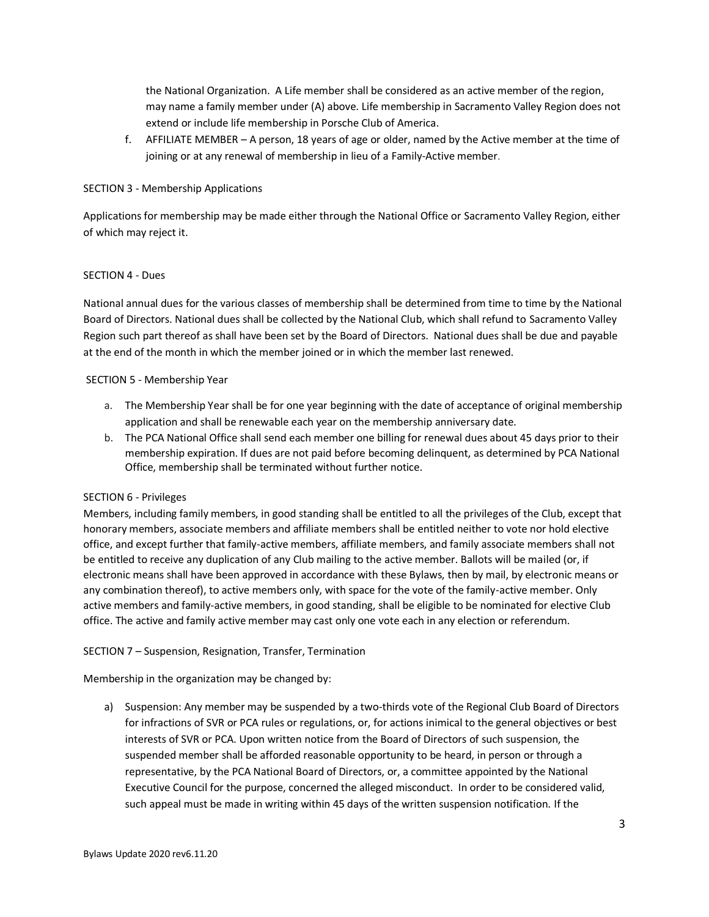the National Organization. A Life member shall be considered as an active member of the region, may name a family member under (A) above. Life membership in Sacramento Valley Region does not extend or include life membership in Porsche Club of America.

f. AFFILIATE MEMBER – A person, 18 years of age or older, named by the Active member at the time of joining or at any renewal of membership in lieu of a Family-Active member.

### SECTION 3 - Membership Applications

Applications for membership may be made either through the National Office or Sacramento Valley Region, either of which may reject it.

## SECTION 4 - Dues

National annual dues for the various classes of membership shall be determined from time to time by the National Board of Directors. National dues shall be collected by the National Club, which shall refund to Sacramento Valley Region such part thereof as shall have been set by the Board of Directors. National dues shall be due and payable at the end of the month in which the member joined or in which the member last renewed.

### SECTION 5 - Membership Year

- a. The Membership Year shall be for one year beginning with the date of acceptance of original membership application and shall be renewable each year on the membership anniversary date.
- b. The PCA National Office shall send each member one billing for renewal dues about 45 days prior to their membership expiration. If dues are not paid before becoming delinquent, as determined by PCA National Office, membership shall be terminated without further notice.

## SECTION 6 - Privileges

Members, including family members, in good standing shall be entitled to all the privileges of the Club, except that honorary members, associate members and affiliate members shall be entitled neither to vote nor hold elective office, and except further that family-active members, affiliate members, and family associate members shall not be entitled to receive any duplication of any Club mailing to the active member. Ballots will be mailed (or, if electronic means shall have been approved in accordance with these Bylaws, then by mail, by electronic means or any combination thereof), to active members only, with space for the vote of the family-active member. Only active members and family-active members, in good standing, shall be eligible to be nominated for elective Club office. The active and family active member may cast only one vote each in any election or referendum.

### SECTION 7 – Suspension, Resignation, Transfer, Termination

Membership in the organization may be changed by:

a) Suspension: Any member may be suspended by a two-thirds vote of the Regional Club Board of Directors for infractions of SVR or PCA rules or regulations, or, for actions inimical to the general objectives or best interests of SVR or PCA. Upon written notice from the Board of Directors of such suspension, the suspended member shall be afforded reasonable opportunity to be heard, in person or through a representative, by the PCA National Board of Directors, or, a committee appointed by the National Executive Council for the purpose, concerned the alleged misconduct. In order to be considered valid, such appeal must be made in writing within 45 days of the written suspension notification. If the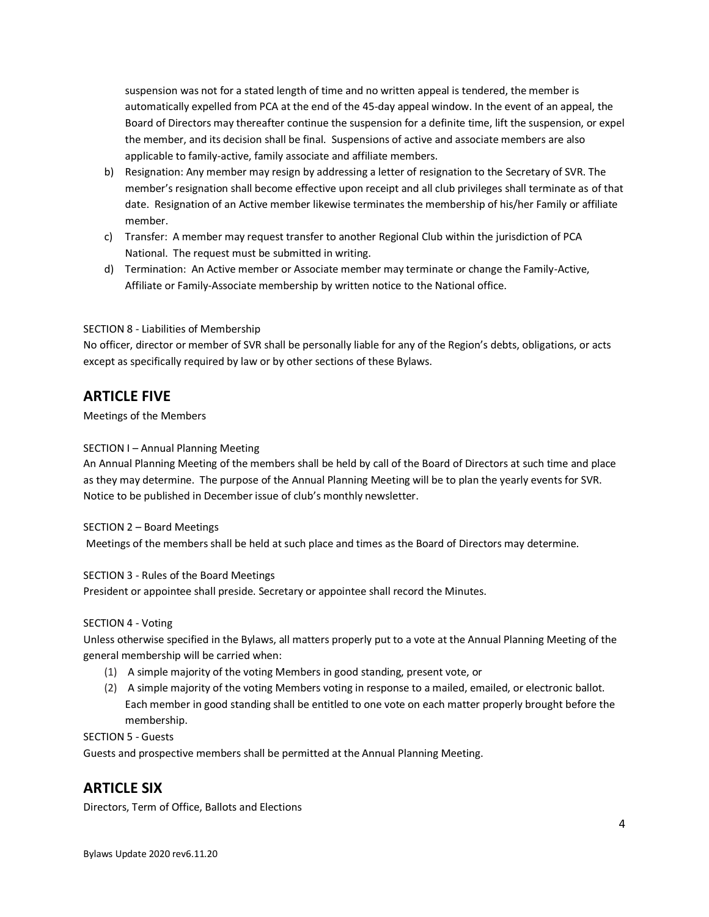suspension was not for a stated length of time and no written appeal is tendered, the member is automatically expelled from PCA at the end of the 45-day appeal window. In the event of an appeal, the Board of Directors may thereafter continue the suspension for a definite time, lift the suspension, or expel the member, and its decision shall be final. Suspensions of active and associate members are also applicable to family-active, family associate and affiliate members.

- b) Resignation: Any member may resign by addressing a letter of resignation to the Secretary of SVR. The member's resignation shall become effective upon receipt and all club privileges shall terminate as of that date. Resignation of an Active member likewise terminates the membership of his/her Family or affiliate member.
- c) Transfer: A member may request transfer to another Regional Club within the jurisdiction of PCA National. The request must be submitted in writing.
- d) Termination: An Active member or Associate member may terminate or change the Family-Active, Affiliate or Family-Associate membership by written notice to the National office.

## SECTION 8 - Liabilities of Membership

No officer, director or member of SVR shall be personally liable for any of the Region's debts, obligations, or acts except as specifically required by law or by other sections of these Bylaws.

## **ARTICLE FIVE**

Meetings of the Members

## SECTION I – Annual Planning Meeting

An Annual Planning Meeting of the members shall be held by call of the Board of Directors at such time and place as they may determine. The purpose of the Annual Planning Meeting will be to plan the yearly events for SVR. Notice to be published in December issue of club's monthly newsletter.

### SECTION 2 – Board Meetings

Meetings of the members shall be held at such place and times as the Board of Directors may determine.

### SECTION 3 - Rules of the Board Meetings

President or appointee shall preside. Secretary or appointee shall record the Minutes.

### SECTION 4 - Voting

Unless otherwise specified in the Bylaws, all matters properly put to a vote at the Annual Planning Meeting of the general membership will be carried when:

- (1) A simple majority of the voting Members in good standing, present vote, or
- (2) A simple majority of the voting Members voting in response to a mailed, emailed, or electronic ballot. Each member in good standing shall be entitled to one vote on each matter properly brought before the membership.

## SECTION 5 - Guests

Guests and prospective members shall be permitted at the Annual Planning Meeting.

## **ARTICLE SIX**

Directors, Term of Office, Ballots and Elections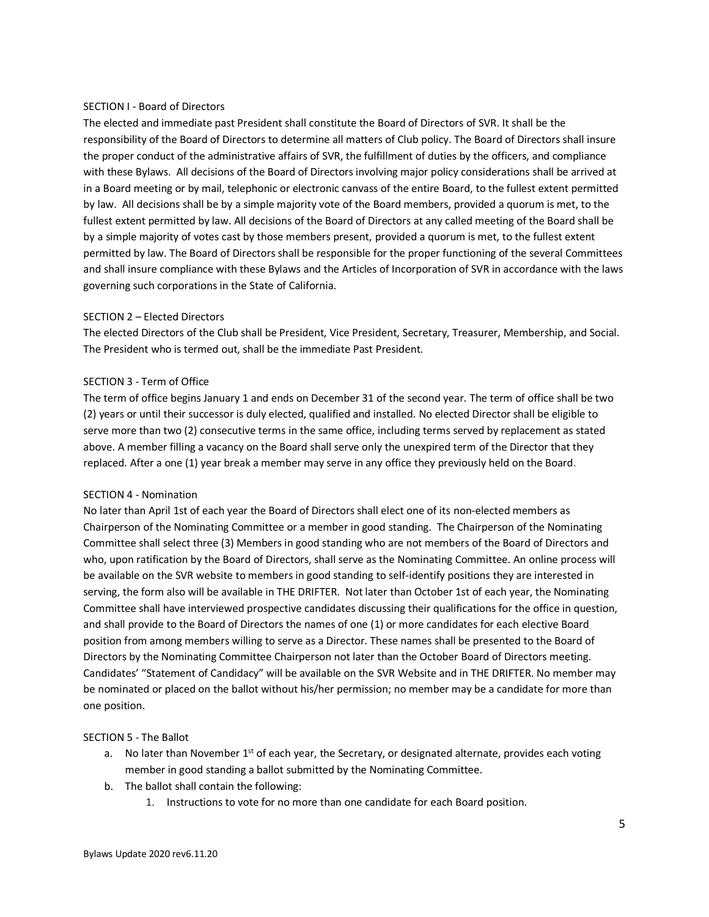#### SECTION I - Board of Directors

The elected and immediate past President shall constitute the Board of Directors of SVR. It shall be the responsibility of the Board of Directors to determine all matters of Club policy. The Board of Directors shall insure the proper conduct of the administrative affairs of SVR, the fulfillment of duties by the officers, and compliance with these Bylaws. All decisions of the Board of Directors involving major policy considerations shall be arrived at in a Board meeting or by mail, telephonic or electronic canvass of the entire Board, to the fullest extent permitted by law. All decisions shall be by a simple majority vote of the Board members, provided a quorum is met, to the fullest extent permitted by law. All decisions of the Board of Directors at any called meeting of the Board shall be by a simple majority of votes cast by those members present, provided a quorum is met, to the fullest extent permitted by law. The Board of Directors shall be responsible for the proper functioning of the several Committees and shall insure compliance with these Bylaws and the Articles of Incorporation of SVR in accordance with the laws governing such corporations in the State of California.

#### SECTION 2 – Elected Directors

The elected Directors of the Club shall be President, Vice President, Secretary, Treasurer, Membership, and Social. The President who is termed out, shall be the immediate Past President.

### SECTION 3 - Term of Office

The term of office begins January 1 and ends on December 31 of the second year. The term of office shall be two (2) years or until their successor is duly elected, qualified and installed. No elected Director shall be eligible to serve more than two (2) consecutive terms in the same office, including terms served by replacement as stated above. A member filling a vacancy on the Board shall serve only the unexpired term of the Director that they replaced. After a one (1) year break a member may serve in any office they previously held on the Board.

#### SECTION 4 - Nomination

No later than April 1st of each year the Board of Directors shall elect one of its non-elected members as Chairperson of the Nominating Committee or a member in good standing. The Chairperson of the Nominating Committee shall select three (3) Members in good standing who are not members of the Board of Directors and who, upon ratification by the Board of Directors, shall serve as the Nominating Committee. An online process will be available on the SVR website to members in good standing to self-identify positions they are interested in serving, the form also will be available in THE DRIFTER. Not later than October 1st of each year, the Nominating Committee shall have interviewed prospective candidates discussing their qualifications for the office in question, and shall provide to the Board of Directors the names of one (1) or more candidates for each elective Board position from among members willing to serve as a Director. These names shall be presented to the Board of Directors by the Nominating Committee Chairperson not later than the October Board of Directors meeting. Candidates' "Statement of Candidacy" will be available on the SVR Website and in THE DRIFTER. No member may be nominated or placed on the ballot without his/her permission; no member may be a candidate for more than one position.

#### SECTION 5 - The Ballot

- a. No later than November 1<sup>st</sup> of each year, the Secretary, or designated alternate, provides each voting member in good standing a ballot submitted by the Nominating Committee.
- b. The ballot shall contain the following:
	- 1. Instructions to vote for no more than one candidate for each Board position.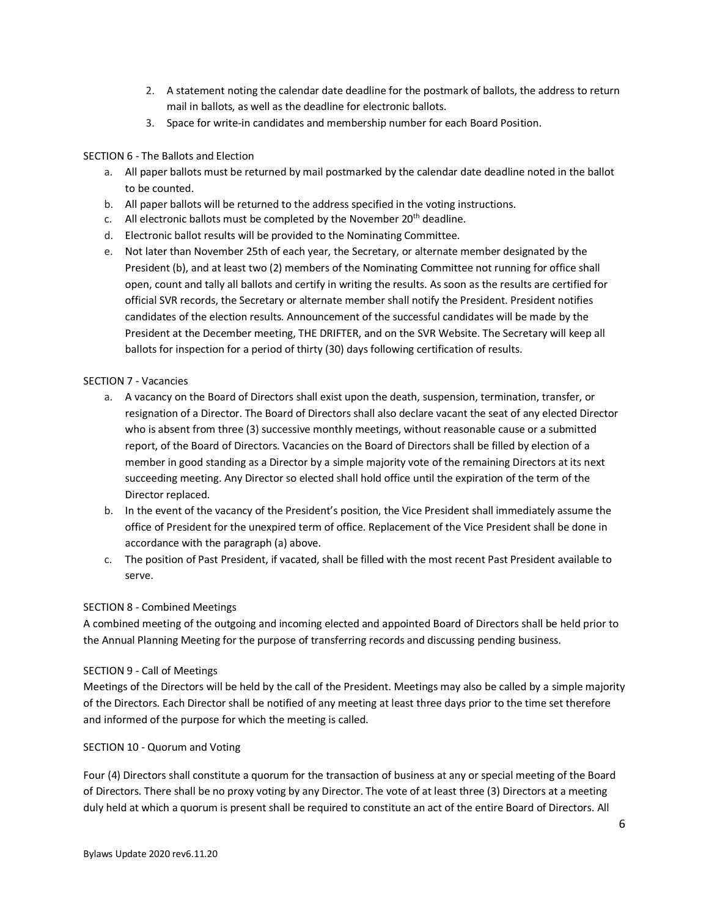- 2. A statement noting the calendar date deadline for the postmark of ballots, the address to return mail in ballots, as well as the deadline for electronic ballots.
- 3. Space for write-in candidates and membership number for each Board Position.

## SECTION 6 - The Ballots and Election

- a. All paper ballots must be returned by mail postmarked by the calendar date deadline noted in the ballot to be counted.
- b. All paper ballots will be returned to the address specified in the voting instructions.
- c. All electronic ballots must be completed by the November  $20<sup>th</sup>$  deadline.
- d. Electronic ballot results will be provided to the Nominating Committee.
- e. Not later than November 25th of each year, the Secretary, or alternate member designated by the President (b), and at least two (2) members of the Nominating Committee not running for office shall open, count and tally all ballots and certify in writing the results. As soon as the results are certified for official SVR records, the Secretary or alternate member shall notify the President. President notifies candidates of the election results. Announcement of the successful candidates will be made by the President at the December meeting, THE DRIFTER, and on the SVR Website. The Secretary will keep all ballots for inspection for a period of thirty (30) days following certification of results.

## SECTION 7 - Vacancies

- a. A vacancy on the Board of Directors shall exist upon the death, suspension, termination, transfer, or resignation of a Director. The Board of Directors shall also declare vacant the seat of any elected Director who is absent from three (3) successive monthly meetings, without reasonable cause or a submitted report, of the Board of Directors. Vacancies on the Board of Directors shall be filled by election of a member in good standing as a Director by a simple majority vote of the remaining Directors at its next succeeding meeting. Any Director so elected shall hold office until the expiration of the term of the Director replaced.
- b. In the event of the vacancy of the President's position, the Vice President shall immediately assume the office of President for the unexpired term of office. Replacement of the Vice President shall be done in accordance with the paragraph (a) above.
- c. The position of Past President, if vacated, shall be filled with the most recent Past President available to serve.

## SECTION 8 - Combined Meetings

A combined meeting of the outgoing and incoming elected and appointed Board of Directors shall be held prior to the Annual Planning Meeting for the purpose of transferring records and discussing pending business.

## SECTION 9 - Call of Meetings

Meetings of the Directors will be held by the call of the President. Meetings may also be called by a simple majority of the Directors. Each Director shall be notified of any meeting at least three days prior to the time set therefore and informed of the purpose for which the meeting is called.

## SECTION 10 - Quorum and Voting

Four (4) Directors shall constitute a quorum for the transaction of business at any or special meeting of the Board of Directors. There shall be no proxy voting by any Director. The vote of at least three (3) Directors at a meeting duly held at which a quorum is present shall be required to constitute an act of the entire Board of Directors. All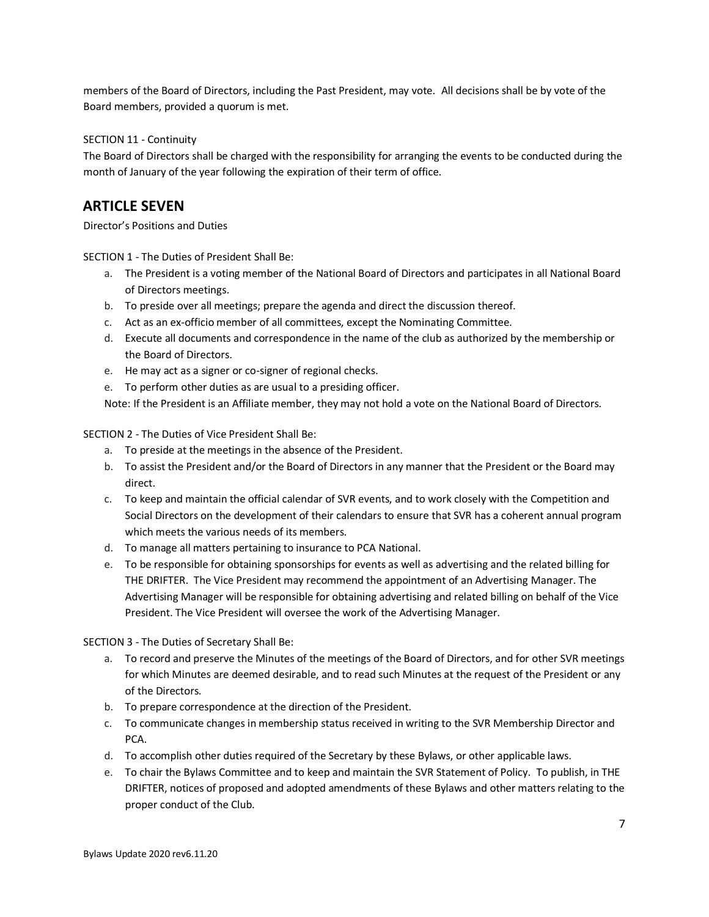members of the Board of Directors, including the Past President, may vote. All decisions shall be by vote of the Board members, provided a quorum is met.

SECTION 11 - Continuity

The Board of Directors shall be charged with the responsibility for arranging the events to be conducted during the month of January of the year following the expiration of their term of office.

## **ARTICLE SEVEN**

Director's Positions and Duties

SECTION 1 - The Duties of President Shall Be:

- a. The President is a voting member of the National Board of Directors and participates in all National Board of Directors meetings.
- b. To preside over all meetings; prepare the agenda and direct the discussion thereof.
- c. Act as an ex-officio member of all committees, except the Nominating Committee.
- d. Execute all documents and correspondence in the name of the club as authorized by the membership or the Board of Directors.
- e. He may act as a signer or co-signer of regional checks.
- e. To perform other duties as are usual to a presiding officer.

Note: If the President is an Affiliate member, they may not hold a vote on the National Board of Directors.

SECTION 2 - The Duties of Vice President Shall Be:

- a. To preside at the meetings in the absence of the President.
- b. To assist the President and/or the Board of Directors in any manner that the President or the Board may direct.
- c. To keep and maintain the official calendar of SVR events, and to work closely with the Competition and Social Directors on the development of their calendars to ensure that SVR has a coherent annual program which meets the various needs of its members.
- d. To manage all matters pertaining to insurance to PCA National.
- e. To be responsible for obtaining sponsorships for events as well as advertising and the related billing for THE DRIFTER. The Vice President may recommend the appointment of an Advertising Manager. The Advertising Manager will be responsible for obtaining advertising and related billing on behalf of the Vice President. The Vice President will oversee the work of the Advertising Manager.

SECTION 3 - The Duties of Secretary Shall Be:

- a. To record and preserve the Minutes of the meetings of the Board of Directors, and for other SVR meetings for which Minutes are deemed desirable, and to read such Minutes at the request of the President or any of the Directors.
- b. To prepare correspondence at the direction of the President.
- c. To communicate changes in membership status received in writing to the SVR Membership Director and PCA.
- d. To accomplish other duties required of the Secretary by these Bylaws, or other applicable laws.
- e. To chair the Bylaws Committee and to keep and maintain the SVR Statement of Policy. To publish, in THE DRIFTER, notices of proposed and adopted amendments of these Bylaws and other matters relating to the proper conduct of the Club.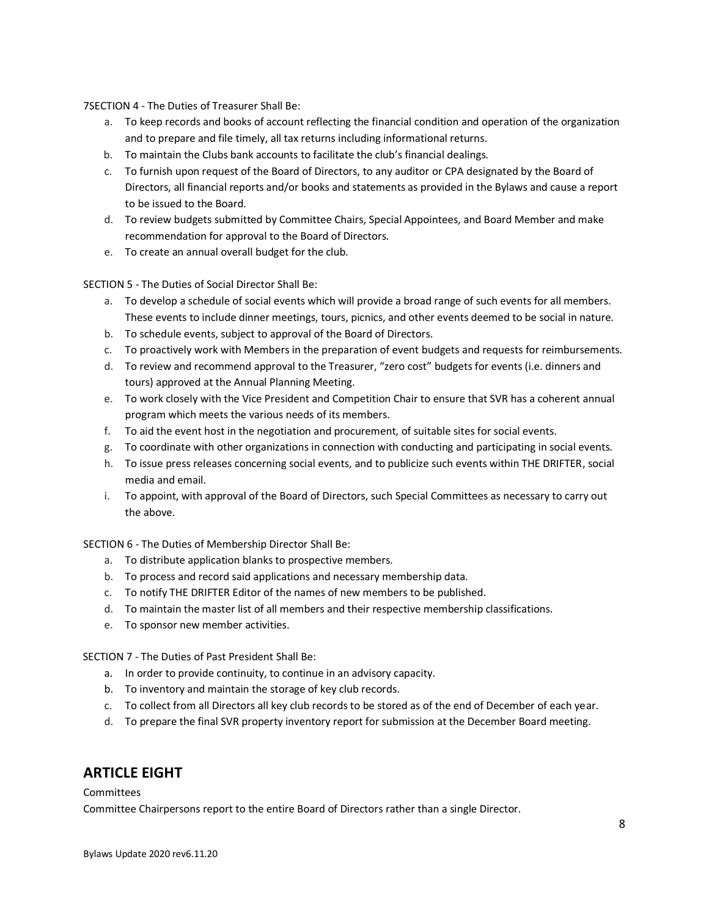7SECTION 4 - The Duties of Treasurer Shall Be:

- a. To keep records and books of account reflecting the financial condition and operation of the organization and to prepare and file timely, all tax returns including informational returns.
- b. To maintain the Clubs bank accounts to facilitate the club's financial dealings.
- c. To furnish upon request of the Board of Directors, to any auditor or CPA designated by the Board of Directors, all financial reports and/or books and statements as provided in the Bylaws and cause a report to be issued to the Board.
- d. To review budgets submitted by Committee Chairs, Special Appointees, and Board Member and make recommendation for approval to the Board of Directors.
- e. To create an annual overall budget for the club.

SECTION 5 - The Duties of Social Director Shall Be:

- a. To develop a schedule of social events which will provide a broad range of such events for all members. These events to include dinner meetings, tours, picnics, and other events deemed to be social in nature.
- b. To schedule events, subject to approval of the Board of Directors.
- c. To proactively work with Members in the preparation of event budgets and requests for reimbursements.
- d. To review and recommend approval to the Treasurer, "zero cost" budgets for events (i.e. dinners and tours) approved at the Annual Planning Meeting.
- e. To work closely with the Vice President and Competition Chair to ensure that SVR has a coherent annual program which meets the various needs of its members.
- f. To aid the event host in the negotiation and procurement, of suitable sites for social events.
- g. To coordinate with other organizations in connection with conducting and participating in social events.
- h. To issue press releases concerning social events, and to publicize such events within THE DRIFTER, social media and email.
- i. To appoint, with approval of the Board of Directors, such Special Committees as necessary to carry out the above.

SECTION 6 - The Duties of Membership Director Shall Be:

- a. To distribute application blanks to prospective members.
- b. To process and record said applications and necessary membership data.
- c. To notify THE DRIFTER Editor of the names of new members to be published.
- d. To maintain the master list of all members and their respective membership classifications.
- e. To sponsor new member activities.

SECTION 7 - The Duties of Past President Shall Be:

- a. In order to provide continuity, to continue in an advisory capacity.
- b. To inventory and maintain the storage of key club records.
- c. To collect from all Directors all key club records to be stored as of the end of December of each year.
- d. To prepare the final SVR property inventory report for submission at the December Board meeting.

## **ARTICLE EIGHT**

## **Committees**

Committee Chairpersons report to the entire Board of Directors rather than a single Director.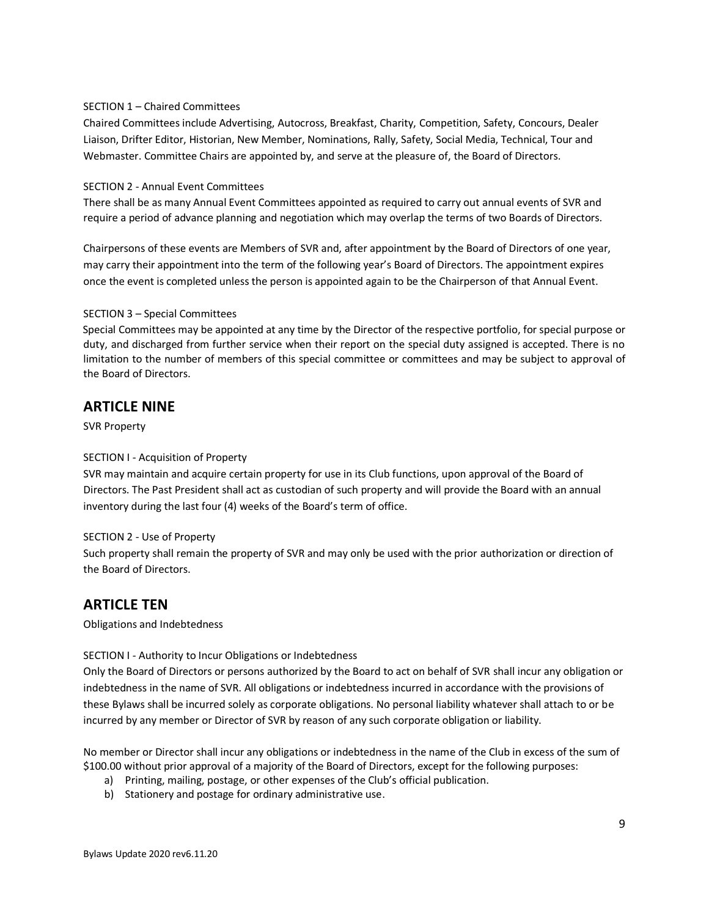## SECTION 1 – Chaired Committees

Chaired Committees include Advertising, Autocross, Breakfast, Charity, Competition, Safety, Concours, Dealer Liaison, Drifter Editor, Historian, New Member, Nominations, Rally, Safety, Social Media, Technical, Tour and Webmaster. Committee Chairs are appointed by, and serve at the pleasure of, the Board of Directors.

## SECTION 2 - Annual Event Committees

There shall be as many Annual Event Committees appointed as required to carry out annual events of SVR and require a period of advance planning and negotiation which may overlap the terms of two Boards of Directors.

Chairpersons of these events are Members of SVR and, after appointment by the Board of Directors of one year, may carry their appointment into the term of the following year's Board of Directors. The appointment expires once the event is completed unless the person is appointed again to be the Chairperson of that Annual Event.

## SECTION 3 – Special Committees

Special Committees may be appointed at any time by the Director of the respective portfolio, for special purpose or duty, and discharged from further service when their report on the special duty assigned is accepted. There is no limitation to the number of members of this special committee or committees and may be subject to approval of the Board of Directors.

## **ARTICLE NINE**

SVR Property

## SECTION I - Acquisition of Property

SVR may maintain and acquire certain property for use in its Club functions, upon approval of the Board of Directors. The Past President shall act as custodian of such property and will provide the Board with an annual inventory during the last four (4) weeks of the Board's term of office.

### SECTION 2 - Use of Property

Such property shall remain the property of SVR and may only be used with the prior authorization or direction of the Board of Directors.

## **ARTICLE TEN**

Obligations and Indebtedness

## SECTION I - Authority to Incur Obligations or Indebtedness

Only the Board of Directors or persons authorized by the Board to act on behalf of SVR shall incur any obligation or indebtedness in the name of SVR. All obligations or indebtedness incurred in accordance with the provisions of these Bylaws shall be incurred solely as corporate obligations. No personal liability whatever shall attach to or be incurred by any member or Director of SVR by reason of any such corporate obligation or liability.

No member or Director shall incur any obligations or indebtedness in the name of the Club in excess of the sum of \$100.00 without prior approval of a majority of the Board of Directors, except for the following purposes:

- a) Printing, mailing, postage, or other expenses of the Club's official publication.
- b) Stationery and postage for ordinary administrative use.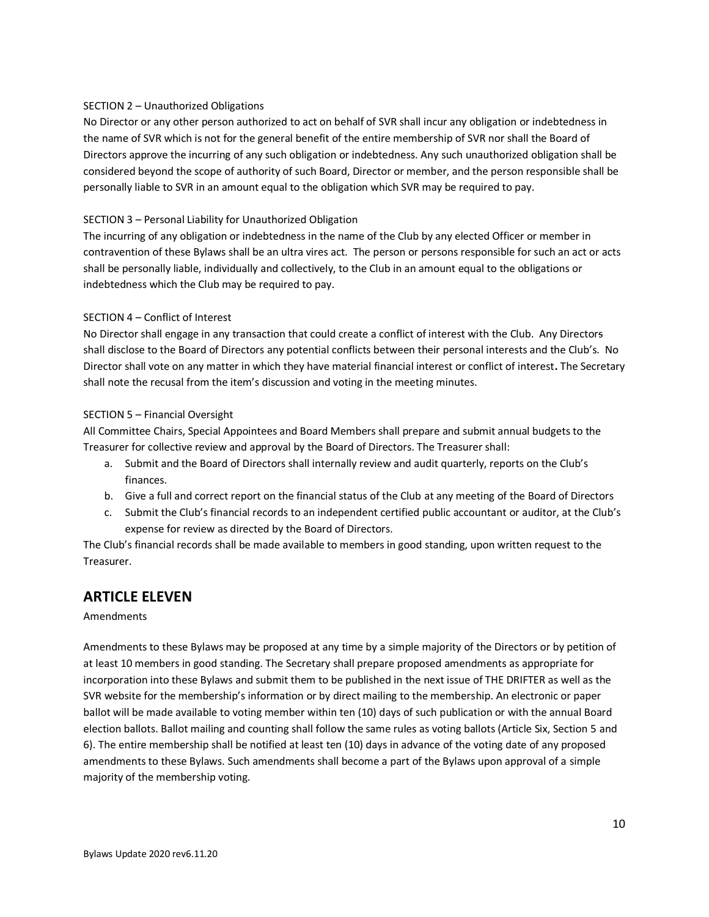## SECTION 2 – Unauthorized Obligations

No Director or any other person authorized to act on behalf of SVR shall incur any obligation or indebtedness in the name of SVR which is not for the general benefit of the entire membership of SVR nor shall the Board of Directors approve the incurring of any such obligation or indebtedness. Any such unauthorized obligation shall be considered beyond the scope of authority of such Board, Director or member, and the person responsible shall be personally liable to SVR in an amount equal to the obligation which SVR may be required to pay.

## SECTION 3 – Personal Liability for Unauthorized Obligation

The incurring of any obligation or indebtedness in the name of the Club by any elected Officer or member in contravention of these Bylaws shall be an ultra vires act. The person or persons responsible for such an act or acts shall be personally liable, individually and collectively, to the Club in an amount equal to the obligations or indebtedness which the Club may be required to pay.

## SECTION 4 – Conflict of Interest

No Director shall engage in any transaction that could create a conflict of interest with the Club. Any Directors shall disclose to the Board of Directors any potential conflicts between their personal interests and the Club's. No Director shall vote on any matter in which they have material financial interest or conflict of interest**.** The Secretary shall note the recusal from the item's discussion and voting in the meeting minutes.

## SECTION 5 – Financial Oversight

All Committee Chairs, Special Appointees and Board Members shall prepare and submit annual budgets to the Treasurer for collective review and approval by the Board of Directors. The Treasurer shall:

- a. Submit and the Board of Directors shall internally review and audit quarterly, reports on the Club's finances.
- b. Give a full and correct report on the financial status of the Club at any meeting of the Board of Directors
- c. Submit the Club's financial records to an independent certified public accountant or auditor, at the Club's expense for review as directed by the Board of Directors.

The Club's financial records shall be made available to members in good standing, upon written request to the Treasurer.

## **ARTICLE ELEVEN**

### Amendments

Amendments to these Bylaws may be proposed at any time by a simple majority of the Directors or by petition of at least 10 members in good standing. The Secretary shall prepare proposed amendments as appropriate for incorporation into these Bylaws and submit them to be published in the next issue of THE DRIFTER as well as the SVR website for the membership's information or by direct mailing to the membership. An electronic or paper ballot will be made available to voting member within ten (10) days of such publication or with the annual Board election ballots. Ballot mailing and counting shall follow the same rules as voting ballots (Article Six, Section 5 and 6). The entire membership shall be notified at least ten (10) days in advance of the voting date of any proposed amendments to these Bylaws. Such amendments shall become a part of the Bylaws upon approval of a simple majority of the membership voting.